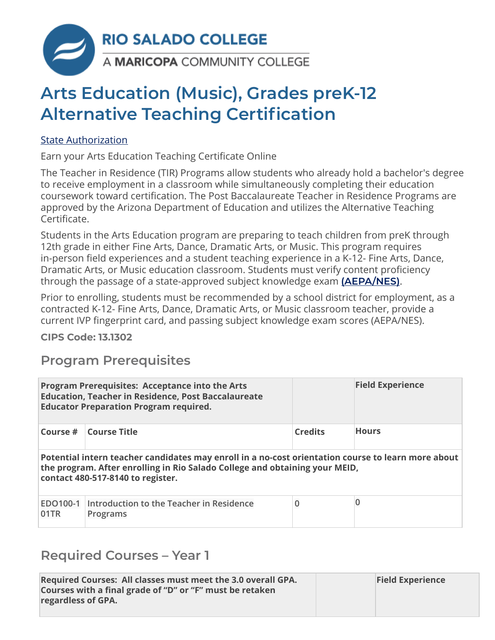

# **Arts Education (Music), Grades preK-12 Alternative Teaching Certification**

#### [State Authorization](https://www.riosalado.edu/node/2416)

Earn your Arts Education Teaching Certificate Online

The Teacher in Residence (TIR) Programs allow students who already hold a bachelor's degree to receive employment in a classroom while simultaneously completing their education coursework toward certification. The Post Baccalaureate Teacher in Residence Programs are approved by the Arizona Department of Education and utilizes the Alternative Teaching Certificate.

Students in the Arts Education program are preparing to teach children from preK through 12th grade in either Fine Arts, Dance, Dramatic Arts, or Music. This program requires in-person field experiences and a student teaching experience in a K-12- Fine Arts, Dance, Dramatic Arts, or Music education classroom. Students must verify content proficiency through the passage of a state-approved subject knowledge exam **[\(AEPA/NES\)](http://www.aepa.nesinc.com/)**.

Prior to enrolling, students must be recommended by a school district for employment, as a contracted K-12- Fine Arts, Dance, Dramatic Arts, or Music classroom teacher, provide a current IVP fingerprint card, and passing subject knowledge exam scores (AEPA/NES).

**CIPS Code: [13.1302](http://nces.ed.gov/ipeds/cipcode/cipdetail.aspx?y=55&cipid=88160)**

## **Program Prerequisites**

|                                                                                                                                                                                                                        | <b>Program Prerequisites: Acceptance into the Arts</b><br><b>Education, Teacher in Residence, Post Baccalaureate</b><br><b>Educator Preparation Program required.</b> |                | <b>Field Experience</b> |  |
|------------------------------------------------------------------------------------------------------------------------------------------------------------------------------------------------------------------------|-----------------------------------------------------------------------------------------------------------------------------------------------------------------------|----------------|-------------------------|--|
| Course #                                                                                                                                                                                                               | Course Title                                                                                                                                                          | <b>Credits</b> | <b>Hours</b>            |  |
| Potential intern teacher candidates may enroll in a no-cost orientation course to learn more about<br>the program. After enrolling in Rio Salado College and obtaining your MEID,<br>contact 480-517-8140 to register. |                                                                                                                                                                       |                |                         |  |
| EDO100-1<br>01TR                                                                                                                                                                                                       | Introduction to the Teacher in Residence<br>Programs                                                                                                                  | $\overline{0}$ | 0                       |  |

### **Required Courses – Year 1**

| Required Courses: All classes must meet the 3.0 overall GPA.<br>Courses with a final grade of "D" or "F" must be retaken<br>regardless of GPA. | <b>Field Experience</b> |
|------------------------------------------------------------------------------------------------------------------------------------------------|-------------------------|
|                                                                                                                                                |                         |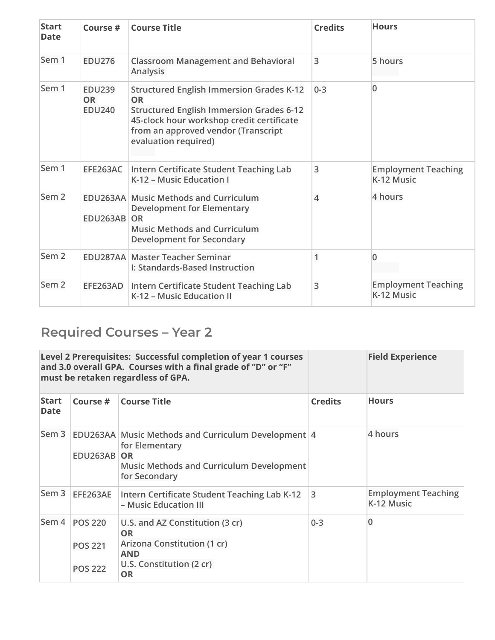| <b>Start</b><br><b>Date</b> | Course #                                    | <b>Course Title</b>                                                                                                                                                                                                  | <b>Credits</b>           | <b>Hours</b>                             |
|-----------------------------|---------------------------------------------|----------------------------------------------------------------------------------------------------------------------------------------------------------------------------------------------------------------------|--------------------------|------------------------------------------|
| Sem 1                       | <b>EDU276</b>                               | <b>Classroom Management and Behavioral</b><br>Analysis                                                                                                                                                               | 3                        | 5 hours                                  |
| Sem 1                       | <b>EDU239</b><br><b>OR</b><br><b>EDU240</b> | <b>Structured English Immersion Grades K-12</b><br>OR<br><b>Structured English Immersion Grades 6-12</b><br>45-clock hour workshop credit certificate<br>from an approved vendor (Transcript<br>evaluation required) | $0 - 3$                  | $\Omega$                                 |
| Sem 1                       | EFE263AC                                    | Intern Certificate Student Teaching Lab<br>K-12 - Music Education I                                                                                                                                                  | 3                        | <b>Employment Teaching</b><br>K-12 Music |
| Sem <sub>2</sub>            | EDU263AB OR                                 | <b>EDU263AA Music Methods and Curriculum</b><br><b>Development for Elementary</b><br><b>Music Methods and Curriculum</b><br><b>Development for Secondary</b>                                                         | $\overline{\mathcal{A}}$ | 4 hours                                  |
| Sem <sub>2</sub>            |                                             | <b>EDU287AA Master Teacher Seminar</b><br>I: Standards-Based Instruction                                                                                                                                             | 1                        | $\Omega$                                 |
| Sem <sub>2</sub>            | EFE263AD                                    | Intern Certificate Student Teaching Lab<br>K-12 - Music Education II                                                                                                                                                 | 3                        | <b>Employment Teaching</b><br>K-12 Music |

## **Required Courses – Year 2**

| Level 2 Prerequisites: Successful completion of year 1 courses<br>and 3.0 overall GPA. Courses with a final grade of "D" or "F"<br>must be retaken regardless of GPA. |                                                    |                                                                                                                                                 |                | <b>Field Experience</b>                  |
|-----------------------------------------------------------------------------------------------------------------------------------------------------------------------|----------------------------------------------------|-------------------------------------------------------------------------------------------------------------------------------------------------|----------------|------------------------------------------|
| <b>Start</b><br><b>Date</b>                                                                                                                                           | Course #                                           | <b>Course Title</b>                                                                                                                             | <b>Credits</b> | <b>Hours</b>                             |
| Sem <sub>3</sub>                                                                                                                                                      | <b>EDU263AB</b>                                    | EDU263AA Music Methods and Curriculum Development 4<br>for Elementary<br>OR<br><b>Music Methods and Curriculum Development</b><br>for Secondary |                | 4 hours                                  |
| Sem 3                                                                                                                                                                 | EFE263AE                                           | Intern Certificate Student Teaching Lab K-12<br>- Music Education III                                                                           | 3              | <b>Employment Teaching</b><br>K-12 Music |
| Sem 4                                                                                                                                                                 | <b>POS 220</b><br><b>POS 221</b><br><b>POS 222</b> | U.S. and AZ Constitution (3 cr)<br><b>OR</b><br>Arizona Constitution (1 cr)<br><b>AND</b><br>U.S. Constitution (2 cr)<br><b>OR</b>              | $0 - 3$        | 0                                        |